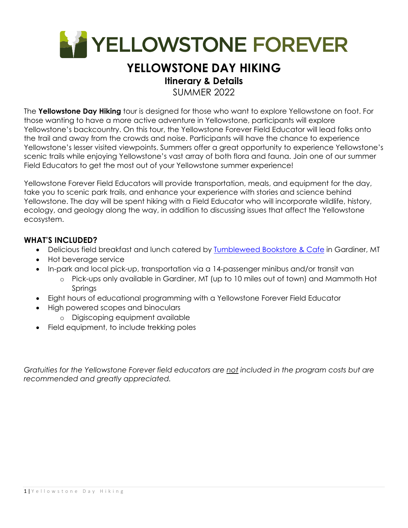

# **YELLOWSTONE DAY HIKING**

### **Itinerary & Details**

SUMMER 2022

The **Yellowstone Day Hiking** tour is designed for those who want to explore Yellowstone on foot. For those wanting to have a more active adventure in Yellowstone, participants will explore Yellowstone's backcountry. On this tour, the Yellowstone Forever Field Educator will lead folks onto the trail and away from the crowds and noise. Participants will have the chance to experience Yellowstone's lesser visited viewpoints. Summers offer a great opportunity to experience Yellowstone's scenic trails while enjoying Yellowstone's vast array of both flora and fauna. Join one of our summer Field Educators to get the most out of your Yellowstone summer experience!

Yellowstone Forever Field Educators will provide transportation, meals, and equipment for the day, take you to scenic park trails, and enhance your experience with stories and science behind Yellowstone. The day will be spent hiking with a Field Educator who will incorporate wildlife, history, ecology, and geology along the way, in addition to discussing issues that affect the Yellowstone ecosystem.

#### **WHAT'S INCLUDED?**

- Delicious field breakfast and lunch catered by Tumbleweed Bookstore & Cafe in Gardiner, MT
- Hot beverage service
- In-park and local pick-up, transportation via a 14-passenger minibus and/or transit van
	- o Pick-ups only available in Gardiner, MT (up to 10 miles out of town) and Mammoth Hot **Springs**
- Eight hours of educational programming with a Yellowstone Forever Field Educator
- High powered scopes and binoculars
	- o Digiscoping equipment available
- Field equipment, to include trekking poles

*Gratuities for the Yellowstone Forever field educators are not included in the program costs but are recommended and greatly appreciated.*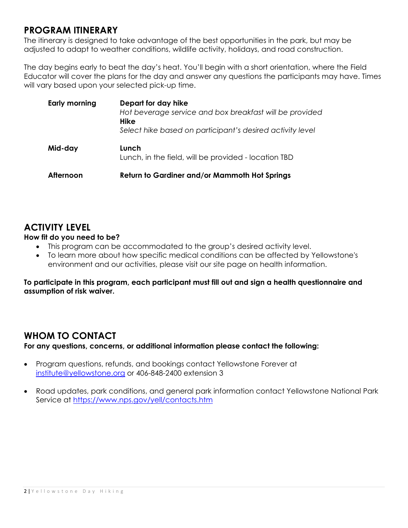### **PROGRAM ITINERARY**

The itinerary is designed to take advantage of the best opportunities in the park, but may be adjusted to adapt to weather conditions, wildlife activity, holidays, and road construction.

The day begins early to beat the day's heat. You'll begin with a short orientation, where the Field Educator will cover the plans for the day and answer any questions the participants may have. Times will vary based upon your selected pick-up time.

| Early morning | Depart for day hike<br>Hot beverage service and box breakfast will be provided<br>Hike<br>Select hike based on participant's desired activity level |
|---------------|-----------------------------------------------------------------------------------------------------------------------------------------------------|
| Mid-day       | Lunch<br>Lunch, in the field, will be provided - location TBD                                                                                       |
| Afternoon     | <b>Return to Gardiner and/or Mammoth Hot Springs</b>                                                                                                |

### **ACTIVITY LEVEL**

#### **How fit do you need to be?**

- This program can be accommodated to the group's desired activity level.
- To learn more about how specific medical conditions can be affected by Yellowstone's environment and our activities, please visit our site page on health information.

**To participate in this program, each participant must fill out and sign a health questionnaire and assumption of risk waiver.** 

### **WHOM TO CONTACT**

**For any questions, concerns, or additional information please contact the following:** 

- Program questions, refunds, and bookings contact Yellowstone Forever at institute@yellowstone.org or 406-848-2400 extension 3
- Road updates, park conditions, and general park information contact Yellowstone National Park Service at https://www.nps.gov/yell/contacts.htm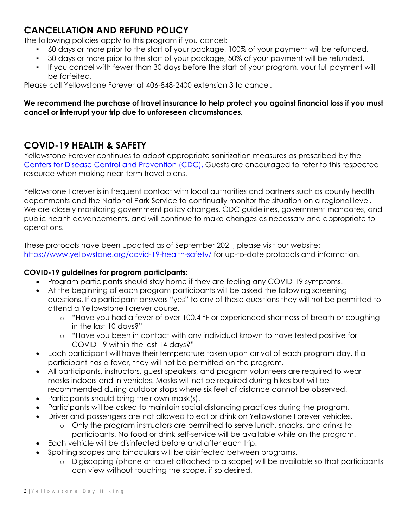## **CANCELLATION AND REFUND POLICY**

The following policies apply to this program if you cancel:

- 60 days or more prior to the start of your package, 100% of your payment will be refunded.
- 30 days or more prior to the start of your package, 50% of your payment will be refunded.
- If you cancel with fewer than 30 days before the start of your program, your full payment will be forfeited.

Please call Yellowstone Forever at 406-848-2400 extension 3 to cancel.

#### **We recommend the purchase of travel insurance to help protect you against financial loss if you must cancel or interrupt your trip due to unforeseen circumstances.**

### **COVID-19 HEALTH & SAFETY**

Yellowstone Forever continues to adopt appropriate sanitization measures as prescribed by the Centers for Disease Control and Prevention (CDC). Guests are encouraged to refer to this respected resource when making near-term travel plans.

Yellowstone Forever is in frequent contact with local authorities and partners such as county health departments and the National Park Service to continually monitor the situation on a regional level. We are closely monitoring government policy changes, CDC guidelines, government mandates, and public health advancements, and will continue to make changes as necessary and appropriate to operations.

These protocols have been updated as of September 2021, please visit our website: https://www.yellowstone.org/covid-19-health-safety/ for up-to-date protocols and information.

#### **COVID-19 guidelines for program participants:**

- Program participants should stay home if they are feeling any COVID-19 symptoms.
- At the beginning of each program participants will be asked the following screening questions. If a participant answers "yes" to any of these questions they will not be permitted to attend a Yellowstone Forever course.
	- o "Have you had a fever of over 100.4 °F or experienced shortness of breath or coughing in the last 10 days?"
	- o "Have you been in contact with any individual known to have tested positive for COVID-19 within the last 14 days?"
- Each participant will have their temperature taken upon arrival of each program day. If a participant has a fever, they will not be permitted on the program.
- All participants, instructors, guest speakers, and program volunteers are required to wear masks indoors and in vehicles. Masks will not be required during hikes but will be recommended during outdoor stops where six feet of distance cannot be observed.
- Participants should bring their own mask(s).
- Participants will be asked to maintain social distancing practices during the program.
- Driver and passengers are not allowed to eat or drink on Yellowstone Forever vehicles.
	- o Only the program instructors are permitted to serve lunch, snacks, and drinks to participants. No food or drink self-service will be available while on the program.
- Each vehicle will be disinfected before and after each trip.
- Spotting scopes and binoculars will be disinfected between programs.
	- o Digiscoping (phone or tablet attached to a scope) will be available so that participants can view without touching the scope, if so desired.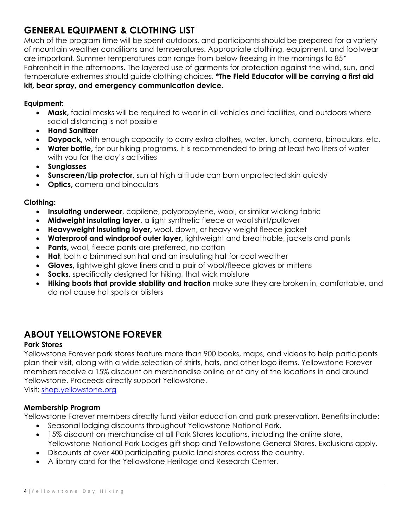## **GENERAL EQUIPMENT & CLOTHING LIST**

Much of the program time will be spent outdoors, and participants should be prepared for a variety of mountain weather conditions and temperatures. Appropriate clothing, equipment, and footwear are important. Summer temperatures can range from below freezing in the mornings to 85° Fahrenheit in the afternoons. The layered use of garments for protection against the wind, sun, and temperature extremes should guide clothing choices. **\*The Field Educator will be carrying a first aid kit, bear spray, and emergency communication device.**

#### **Equipment:**

- **Mask,** facial masks will be required to wear in all vehicles and facilities, and outdoors where social distancing is not possible
- **Hand Sanitizer**
- **Daypack,** with enough capacity to carry extra clothes, water, lunch, camera, binoculars, etc.
- **Water bottle,** for our hiking programs, it is recommended to bring at least two liters of water with you for the day's activities
- **Sunglasses**
- **Sunscreen/Lip protector,** sun at high altitude can burn unprotected skin quickly
- **Optics, camera and binoculars**

#### **Clothing:**

- **Insulating underwear**, capilene, polypropylene, wool, or similar wicking fabric
- **Midweight insulating layer**, a light synthetic fleece or wool shirt/pullover
- **Heavyweight insulating layer,** wool, down, or heavy-weight fleece jacket
- **Waterproof and windproof outer layer,** lightweight and breathable, jackets and pants
- **Pants,** wool, fleece pants are preferred, no cotton
- **Hat**, both a brimmed sun hat and an insulating hat for cool weather
- **Gloves,** lightweight glove liners and a pair of wool/fleece gloves or mittens
- **Socks,** specifically designed for hiking, that wick moisture
- **Hiking boots that provide stability and traction** make sure they are broken in, comfortable, and do not cause hot spots or blisters

### **ABOUT YELLOWSTONE FOREVER**

#### **Park Stores**

Yellowstone Forever park stores feature more than 900 books, maps, and videos to help participants plan their visit, along with a wide selection of shirts, hats, and other logo items. Yellowstone Forever members receive a 15% discount on merchandise online or at any of the locations in and around Yellowstone. Proceeds directly support Yellowstone.

Visit: shop.yellowstone.org

#### **Membership Program**

Yellowstone Forever members directly fund visitor education and park preservation. Benefits include:

- Seasonal lodging discounts throughout Yellowstone National Park.
- 15% discount on merchandise at all Park Stores locations, including the online store, Yellowstone National Park Lodges gift shop and Yellowstone General Stores. Exclusions apply.
- Discounts at over 400 participating public land stores across the country.
- A library card for the Yellowstone Heritage and Research Center.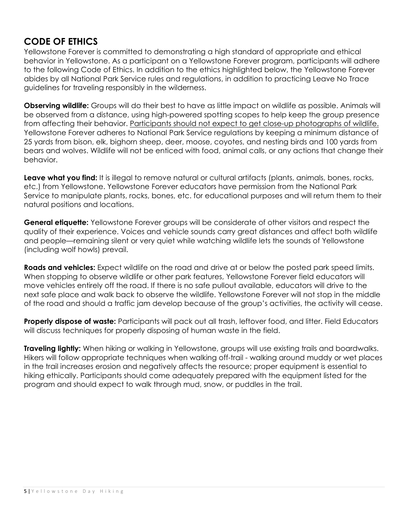### **CODE OF ETHICS**

Yellowstone Forever is committed to demonstrating a high standard of appropriate and ethical behavior in Yellowstone. As a participant on a Yellowstone Forever program, participants will adhere to the following Code of Ethics. In addition to the ethics highlighted below, the Yellowstone Forever abides by all National Park Service rules and regulations, in addition to practicing Leave No Trace guidelines for traveling responsibly in the wilderness.

**Observing wildlife:** Groups will do their best to have as little impact on wildlife as possible. Animals will be observed from a distance, using high-powered spotting scopes to help keep the group presence from affecting their behavior. Participants should not expect to get close-up photographs of wildlife. Yellowstone Forever adheres to National Park Service regulations by keeping a minimum distance of 25 yards from bison, elk, bighorn sheep, deer, moose, coyotes, and nesting birds and 100 yards from bears and wolves. Wildlife will not be enticed with food, animal calls, or any actions that change their behavior.

**Leave what you find:** It is illegal to remove natural or cultural artifacts (plants, animals, bones, rocks, etc.) from Yellowstone. Yellowstone Forever educators have permission from the National Park Service to manipulate plants, rocks, bones, etc. for educational purposes and will return them to their natural positions and locations.

**General etiquette:** Yellowstone Forever groups will be considerate of other visitors and respect the quality of their experience. Voices and vehicle sounds carry great distances and affect both wildlife and people—remaining silent or very quiet while watching wildlife lets the sounds of Yellowstone (including wolf howls) prevail.

**Roads and vehicles:** Expect wildlife on the road and drive at or below the posted park speed limits. When stopping to observe wildlife or other park features, Yellowstone Forever field educators will move vehicles entirely off the road. If there is no safe pullout available, educators will drive to the next safe place and walk back to observe the wildlife. Yellowstone Forever will not stop in the middle of the road and should a traffic jam develop because of the group's activities, the activity will cease.

**Properly dispose of waste:** Participants will pack out all trash, leftover food, and litter. Field Educators will discuss techniques for properly disposing of human waste in the field.

**Traveling lightly:** When hiking or walking in Yellowstone, groups will use existing trails and boardwalks. Hikers will follow appropriate techniques when walking off-trail - walking around muddy or wet places in the trail increases erosion and negatively affects the resource; proper equipment is essential to hiking ethically. Participants should come adequately prepared with the equipment listed for the program and should expect to walk through mud, snow, or puddles in the trail.